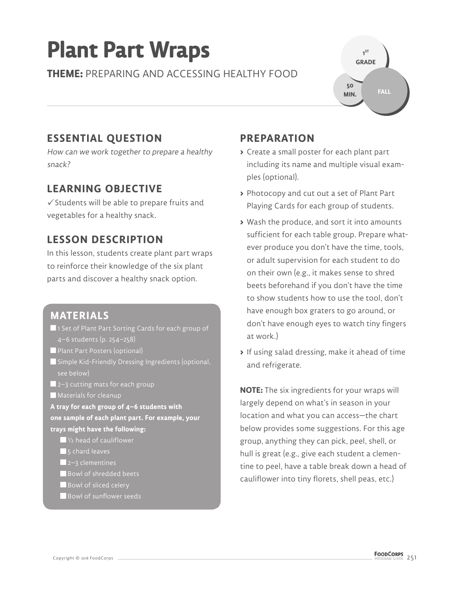# **Plant Part Wraps**

**THEME:** PREPARING AND ACCESSING HEALTHY FOOD



### **ESSENTIAL QUESTION**

How can we work together to prepare a healthy snack?

#### **LEARNING OBJECTIVE**

 $\checkmark$  Students will be able to prepare fruits and vegetables for a healthy snack.

### **LESSON DESCRIPTION**

In this lesson, students create plant part wraps to reinforce their knowledge of the six plant parts and discover a healthy snack option.

#### **MATERIALS**

- **1** 1 Set of Plant Part Sorting Cards for each group of 4–6 students (p. 254–258)
- **Plant Part Posters (optional)**
- Simple Kid-Friendly Dressing Ingredients (optional, see below)
- **2**–3 cutting mats for each group
- Materials for cleanup
- **A tray for each group of 4–6 students with one sample of each plant part. For example, your trays might have the following:** 
	- 1/2 head of cauliflower
	- $\blacksquare$  5 chard leaves
	- $\blacksquare$  2–3 clementines
	- Bowl of shredded beets
	- Bowl of sliced celery
	- Bowl of sunflower seeds

### **PREPARATION**

- **>** Create a small poster for each plant part including its name and multiple visual examples (optional).
- **>** Photocopy and cut out a set of Plant Part Playing Cards for each group of students.
- **>** Wash the produce, and sort it into amounts sufficient for each table group. Prepare whatever produce you don't have the time, tools, or adult supervision for each student to do on their own (e.g., it makes sense to shred beets beforehand if you don't have the time to show students how to use the tool, don't have enough box graters to go around, or don't have enough eyes to watch tiny fingers at work.)
- **>** If using salad dressing, make it ahead of time and refrigerate.

**NOTE:** The six ingredients for your wraps will largely depend on what's in season in your location and what you can access—the chart below provides some suggestions. For this age group, anything they can pick, peel, shell, or hull is great (e.g., give each student a clementine to peel, have a table break down a head of cauliflower into tiny florets, shell peas, etc.)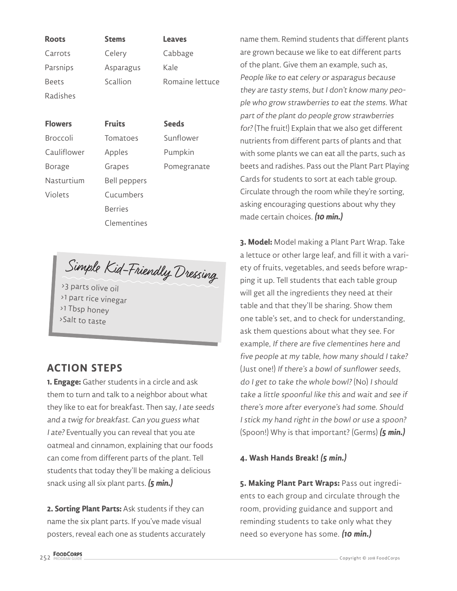| <b>Roots</b> | <b>Stems</b> | <b>Leaves</b>   |
|--------------|--------------|-----------------|
| Carrots      | Celery       | Cabbage         |
| Parsnips     | Asparagus    | Kale            |
| <b>Beets</b> | Scallion     | Romaine lettuce |
| Radishes     |              |                 |

| <b>Flowers</b>  | <b>Fruits</b>       | <b>Seeds</b> |
|-----------------|---------------------|--------------|
| <b>Broccoli</b> | Tomatoes            | Sunflower    |
| Cauliflower     | Apples              | Pumpkin      |
| Borage          | Grapes              | Pomegranate  |
| Nasturtium      | <b>Bell peppers</b> |              |
| <b>Violets</b>  | Cucumbers           |              |
|                 | <b>Berries</b>      |              |
|                 | Clementines         |              |

Simple Kid-Friendly Dressing

>3 parts olive oil > 1 part rice vinegar > 1 Tbsp honey > Salt to taste

#### **ACTION STEPS**

**1. Engage:** Gather students in a circle and ask them to turn and talk to a neighbor about what they like to eat for breakfast. Then say, I ate seeds and a twig for breakfast. Can you guess what I ate? Eventually you can reveal that you ate oatmeal and cinnamon, explaining that our foods can come from different parts of the plant. Tell students that today they'll be making a delicious snack using all six plant parts. **(5 min.)**

**2. Sorting Plant Parts:** Ask students if they can name the six plant parts. If you've made visual posters, reveal each one as students accurately

name them. Remind students that different plants are grown because we like to eat different parts of the plant. Give them an example, such as, People like to eat celery or asparagus because they are tasty stems, but I don't know many people who grow strawberries to eat the stems. What part of the plant do people grow strawberries for? (The fruit!) Explain that we also get different nutrients from different parts of plants and that with some plants we can eat all the parts, such as beets and radishes. Pass out the Plant Part Playing Cards for students to sort at each table group. Circulate through the room while they're sorting, asking encouraging questions about why they made certain choices. **(10 min.)**

**3. Model:** Model making a Plant Part Wrap. Take a lettuce or other large leaf, and fill it with a variety of fruits, vegetables, and seeds before wrapping it up. Tell students that each table group will get all the ingredients they need at their table and that they'll be sharing. Show them one table's set, and to check for understanding, ask them questions about what they see. For example, If there are five clementines here and five people at my table, how many should I take? (Just one!) If there's a bowl of sunflower seeds, do I get to take the whole bowl? (No) I should take a little spoonful like this and wait and see if there's more after everyone's had some. Should I stick my hand right in the bowl or use a spoon? (Spoon!) Why is that important? (Germs) **(5 min.)**

#### **4. Wash Hands Break! (5 min.)**

**5. Making Plant Part Wraps:** Pass out ingredients to each group and circulate through the room, providing guidance and support and reminding students to take only what they need so everyone has some. **(10 min.)**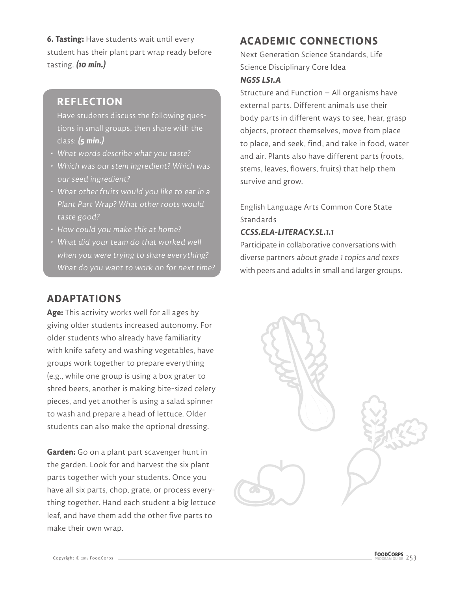**6. Tasting:** Have students wait until every student has their plant part wrap ready before tasting. **(10 min.)**

#### **REFLECTION**

Have students discuss the following questions in small groups, then share with the class: **(5 min.)**

- What words describe what you taste?
- Which was our stem ingredient? Which was our seed ingredient?
- What other fruits would you like to eat in a Plant Part Wrap? What other roots would taste good?
- How could you make this at home?
- What did your team do that worked well when you were trying to share everything? What do you want to work on for next time?

#### **ADAPTATIONS**

**Age:** This activity works well for all ages by giving older students increased autonomy. For older students who already have familiarity with knife safety and washing vegetables, have groups work together to prepare everything (e.g., while one group is using a box grater to shred beets, another is making bite-sized celery pieces, and yet another is using a salad spinner to wash and prepare a head of lettuce. Older students can also make the optional dressing.

**Garden:** Go on a plant part scavenger hunt in the garden. Look for and harvest the six plant parts together with your students. Once you have all six parts, chop, grate, or process everything together. Hand each student a big lettuce leaf, and have them add the other five parts to make their own wrap.

#### **ACADEMIC CONNECTIONS**

Next Generation Science Standards, Life Science Disciplinary Core Idea

#### **NGSS LS1.A**

Structure and Function – All organisms have external parts. Different animals use their body parts in different ways to see, hear, grasp objects, protect themselves, move from place to place, and seek, find, and take in food, water and air. Plants also have different parts (roots, stems, leaves, flowers, fruits) that help them survive and grow.

English Language Arts Common Core State **Standards** 

#### **CCSS.ELA-LITERACY.SL.1.1**

Participate in collaborative conversations with diverse partners about grade 1 topics and texts with peers and adults in small and larger groups.

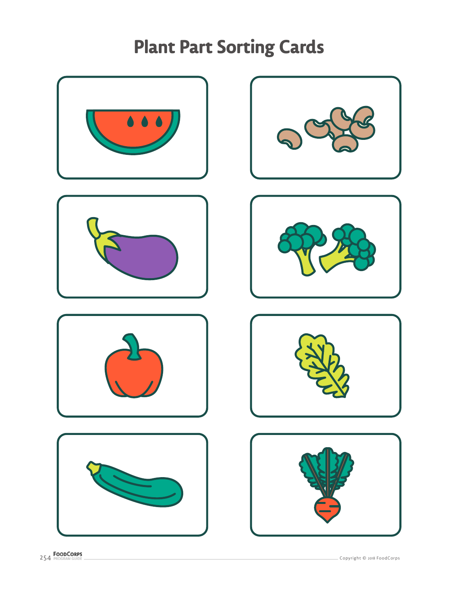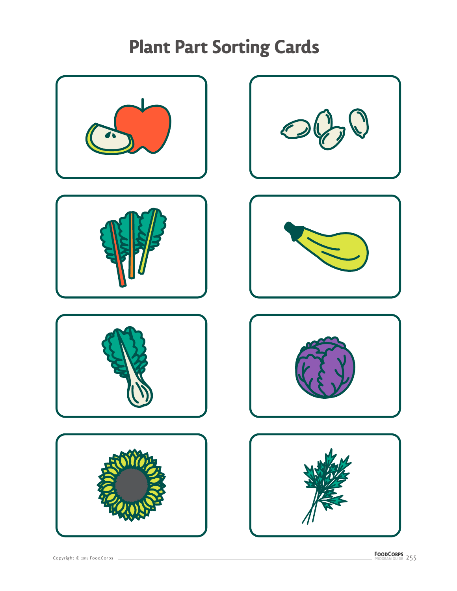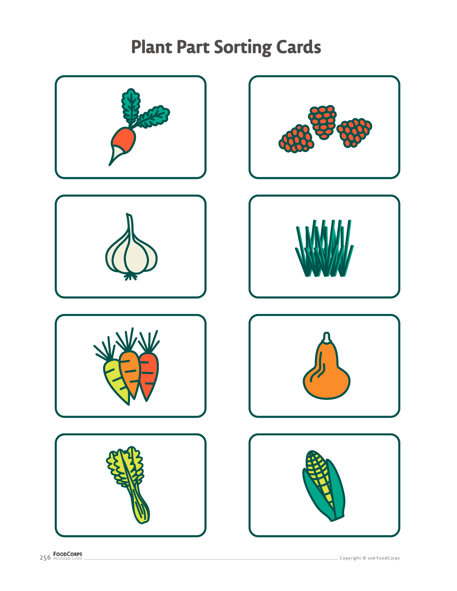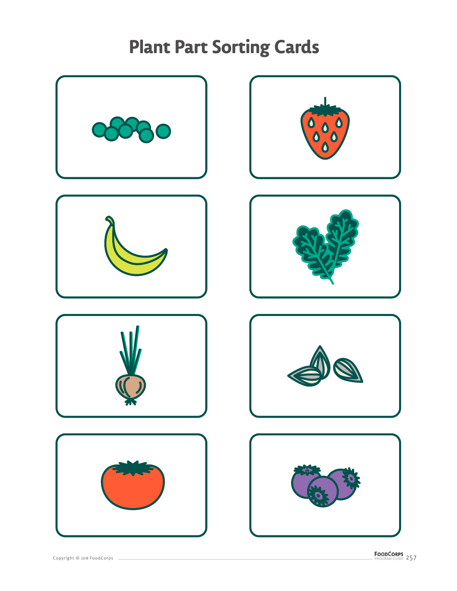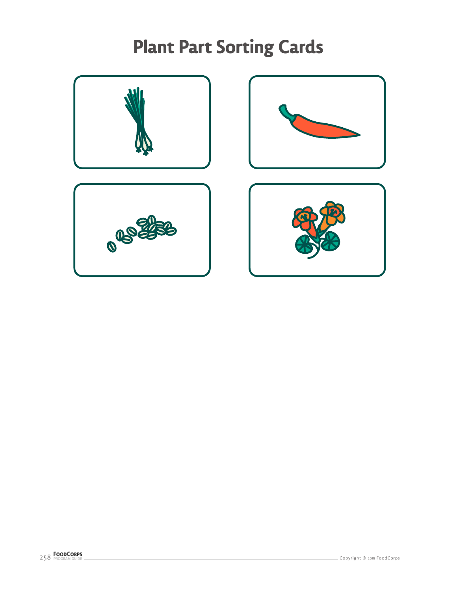